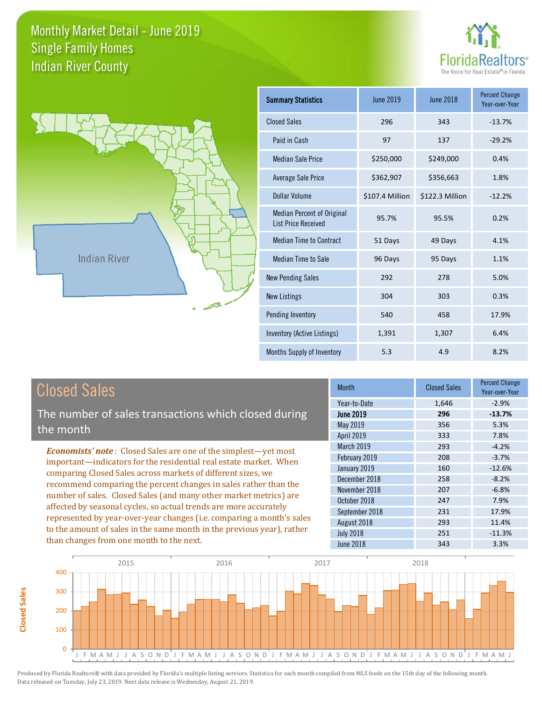



| <b>Summary Statistics</b>                                       | June 2019       | <b>June 2018</b> | <b>Percent Change</b><br>Year-over-Year |
|-----------------------------------------------------------------|-----------------|------------------|-----------------------------------------|
| <b>Closed Sales</b>                                             | 296             | 343              | $-13.7%$                                |
| Paid in Cash                                                    | 97              | 137              | $-29.2%$                                |
| <b>Median Sale Price</b>                                        | \$250,000       | \$249,000        | 0.4%                                    |
| <b>Average Sale Price</b>                                       | \$362,907       | \$356,663        | 1.8%                                    |
| Dollar Volume                                                   | \$107.4 Million | \$122.3 Million  | $-12.2%$                                |
| <b>Median Percent of Original</b><br><b>List Price Received</b> | 95.7%           | 95.5%            | 0.2%                                    |
| <b>Median Time to Contract</b>                                  | 51 Days         | 49 Days          | 4.1%                                    |
| Median Time to Sale                                             | 96 Days         | 95 Days          | 1.1%                                    |
| <b>New Pending Sales</b>                                        | 292             | 278              | 5.0%                                    |
| <b>New Listings</b>                                             | 304             | 303              | 0.3%                                    |
| Pending Inventory                                               | 540             | 458              | 17.9%                                   |
| Inventory (Active Listings)                                     | 1,391           | 1,307            | 6.4%                                    |
| Months Supply of Inventory                                      | 5.3             | 4.9              | 8.2%                                    |

**Closed Sales**

**Closed Sales** 

The number of sales transactions which closed during the month

*Economists' note* : Closed Sales are one of the simplest—yet most important—indicators for the residential real estate market. When comparing Closed Sales across markets of different sizes, we recommend comparing the percent changes in sales rather than the number of sales. Closed Sales (and many other market metrics) are affected by seasonal cycles, so actual trends are more accurately represented by year-over-year changes (i.e. comparing a month's sales to the amount of sales in the same month in the previous year), rather than changes from one month to the next.

| <b>Month</b>     | <b>Closed Sales</b> | <b>Percent Change</b><br>Year-over-Year |
|------------------|---------------------|-----------------------------------------|
| Year-to-Date     | 1,646               | $-2.9%$                                 |
| <b>June 2019</b> | 296                 | $-13.7%$                                |
| May 2019         | 356                 | 5.3%                                    |
| April 2019       | 333                 | 7.8%                                    |
| March 2019       | 293                 | $-4.2%$                                 |
| February 2019    | 208                 | $-3.7%$                                 |
| January 2019     | 160                 | $-12.6%$                                |
| December 2018    | 258                 | $-8.2%$                                 |
| November 2018    | 207                 | $-6.8%$                                 |
| October 2018     | 247                 | 7.9%                                    |
| September 2018   | 231                 | 17.9%                                   |
| August 2018      | 293                 | 11.4%                                   |
| <b>July 2018</b> | 251                 | $-11.3%$                                |
| <b>June 2018</b> | 343                 | 3.3%                                    |

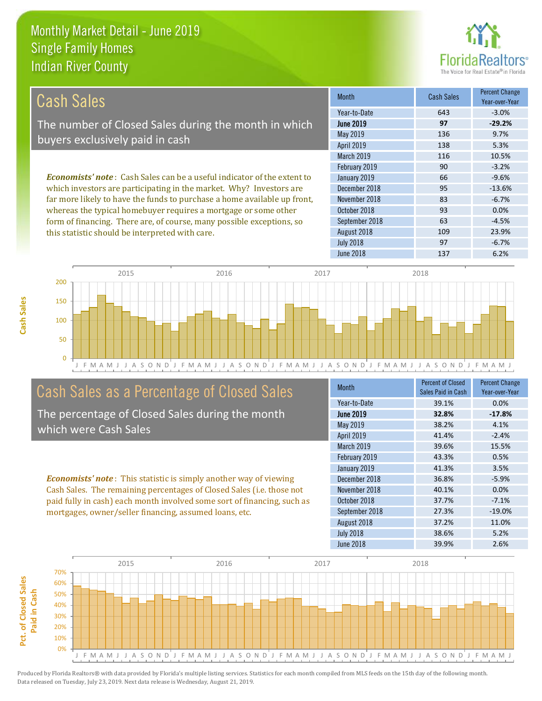this statistic should be interpreted with care.



109 23.9%

| Cash Sales                                                                     | <b>Month</b>      | <b>Cash Sales</b> | <b>Percent Change</b><br>Year-over-Year |
|--------------------------------------------------------------------------------|-------------------|-------------------|-----------------------------------------|
|                                                                                | Year-to-Date      | 643               | $-3.0%$                                 |
| The number of Closed Sales during the month in which                           | <b>June 2019</b>  | 97                | $-29.2%$                                |
| buyers exclusively paid in cash                                                | May 2019          | 136               | 9.7%                                    |
|                                                                                | <b>April 2019</b> | 138               | 5.3%                                    |
|                                                                                | <b>March 2019</b> | 116               | 10.5%                                   |
|                                                                                | February 2019     | 90                | $-3.2%$                                 |
| <b>Economists' note:</b> Cash Sales can be a useful indicator of the extent to | January 2019      | 66                | $-9.6%$                                 |
| which investors are participating in the market. Why? Investors are            | December 2018     | 95                | $-13.6%$                                |
| far more likely to have the funds to purchase a home available up front,       | November 2018     | 83                | $-6.7%$                                 |
| whereas the typical homebuyer requires a mortgage or some other                | October 2018      | 93                | 0.0%                                    |
| form of financing. There are, of course, many possible exceptions, so          | September 2018    | 63                | $-4.5%$                                 |

J F M A M J J A S O N D J F M A M J J A S O N D J F M A M J J A S O N D J F M A M J J A S O N D J F M A M J 0 50 100 150 200 2015 2016 2017 2018

# Cash Sales as a Percentage of Closed Sales

The percentage of Closed Sales during the month which were Cash Sales

*Economists' note* : This statistic is simply another way of viewing Cash Sales. The remaining percentages of Closed Sales (i.e. those not paid fully in cash) each month involved some sort of financing, such as mortgages, owner/seller financing, assumed loans, etc.

| <b>Month</b>      | <b>Percent of Closed</b><br>Sales Paid in Cash | <b>Percent Change</b><br>Year-over-Year |
|-------------------|------------------------------------------------|-----------------------------------------|
| Year-to-Date      | 39.1%                                          | 0.0%                                    |
| <b>June 2019</b>  | 32.8%                                          | $-17.8%$                                |
| May 2019          | 38.2%                                          | 4.1%                                    |
| <b>April 2019</b> | 41.4%                                          | $-2.4%$                                 |
| March 2019        | 39.6%                                          | 15.5%                                   |
| February 2019     | 43.3%                                          | 0.5%                                    |
| January 2019      | 41.3%                                          | 3.5%                                    |
| December 2018     | 36.8%                                          | $-5.9%$                                 |
| November 2018     | 40.1%                                          | 0.0%                                    |
| October 2018      | 37.7%                                          | $-7.1%$                                 |
| September 2018    | 27.3%                                          | $-19.0%$                                |
| August 2018       | 37.2%                                          | 11.0%                                   |
| <b>July 2018</b>  | 38.6%                                          | 5.2%                                    |
| June 2018         | 39.9%                                          | 2.6%                                    |

June 2018 **137** 6.2%

July 2018 **97** -6.7%

August 2018

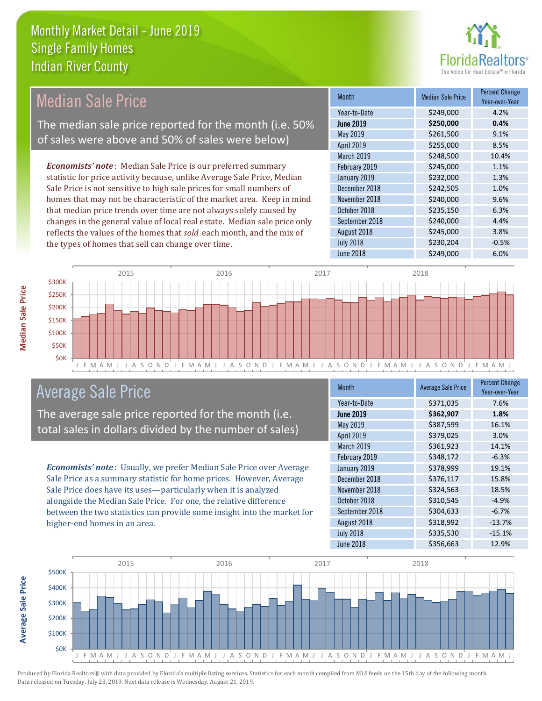

#### Month Median Sale Price Percent Change Year-over-Year June 2019 **\$250,000 0.4%** Year-to-Date \$249,000 4.2% November 2018 **\$240,000** \$240,000 May 2019 **\$261,500** \$261,500 9.1% April 2019 **\$255,000** \$255,000 January 2019 **5232,000 1.3%** December 2018 **\$242,505** 1.0% March 2019 **\$248,500** \$248,500 10.4% February 2019 **\$245,000** \$245,000 1.1% October 2018 **\$235,150** 6.3% September 2018 **\$240,000** 4.4% August 2018 **\$245,000** 3.8% July 2018 **\$230,204** -0.5% June 2018 **\$249,000** 6.0% *Economists' note* : Median Sale Price is our preferred summary statistic for price activity because, unlike Average Sale Price, Median Sale Price is not sensitive to high sale prices for small numbers of homes that may not be characteristic of the market area. Keep in mind that median price trends over time are not always solely caused by changes in the general value of local real estate. Median sale price only reflects the values of the homes that *sold* each month, and the mix of the types of homes that sell can change over time. Median Sale Price The median sale price reported for the month (i.e. 50% of sales were above and 50% of sales were below)



# Average Sale Price

The average sale price reported for the month (i.e. total sales in dollars divided by the number of sales)

*Economists' note* : Usually, we prefer Median Sale Price over Average Sale Price as a summary statistic for home prices. However, Average Sale Price does have its uses—particularly when it is analyzed alongside the Median Sale Price. For one, the relative difference between the two statistics can provide some insight into the market for higher-end homes in an area.

| <b>Month</b>     | <b>Average Sale Price</b> | <b>Percent Change</b><br>Year-over-Year |
|------------------|---------------------------|-----------------------------------------|
| Year-to-Date     | \$371,035                 | 7.6%                                    |
| <b>June 2019</b> | \$362,907                 | 1.8%                                    |
| <b>May 2019</b>  | \$387,599                 | 16.1%                                   |
| April 2019       | \$379,025                 | 3.0%                                    |
| March 2019       | \$361,923                 | 14.1%                                   |
| February 2019    | \$348,172                 | $-6.3%$                                 |
| January 2019     | \$378,999                 | 19.1%                                   |
| December 2018    | \$376,117                 | 15.8%                                   |
| November 2018    | \$324,563                 | 18.5%                                   |
| October 2018     | \$310,545                 | $-4.9%$                                 |
| September 2018   | \$304,633                 | $-6.7%$                                 |
| August 2018      | \$318,992                 | $-13.7%$                                |
| <b>July 2018</b> | \$335,530                 | $-15.1%$                                |
| <b>June 2018</b> | \$356,663                 | 12.9%                                   |



Produced by Florida Realtors® with data provided by Florida's multiple listing services. Statistics for each month compiled from MLS feeds on the 15th day of the following month. Data released on Tuesday, July 23, 2019. Next data release is Wednesday, August 21, 2019.

**Average Sale Price**

**Average Sale Price**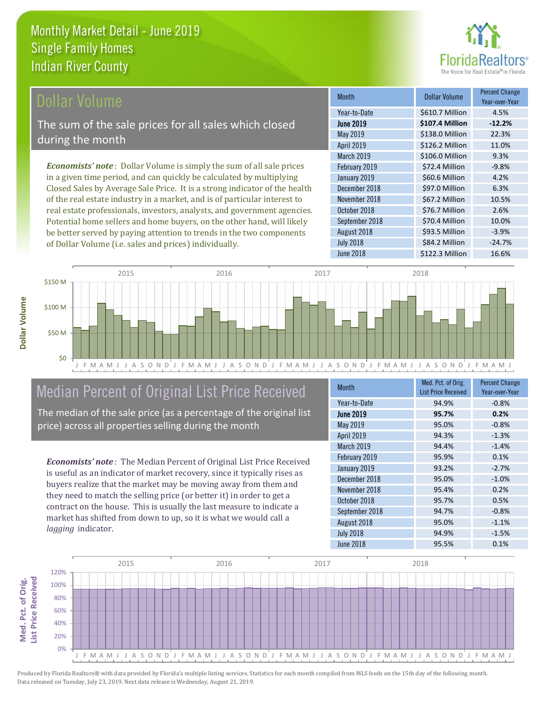

## **Ollar Volume**

The sum of the sale prices for all sales which closed during the month

*Economists' note* : Dollar Volume is simply the sum of all sale prices in a given time period, and can quickly be calculated by multiplying Closed Sales by Average Sale Price. It is a strong indicator of the health of the real estate industry in a market, and is of particular interest to real estate professionals, investors, analysts, and government agencies. Potential home sellers and home buyers, on the other hand, will likely be better served by paying attention to trends in the two components of Dollar Volume (i.e. sales and prices) individually.

| <b>Month</b>      | Dollar Volume   | <b>Percent Change</b><br>Year-over-Year |
|-------------------|-----------------|-----------------------------------------|
| Year-to-Date      | \$610.7 Million | 4.5%                                    |
| <b>June 2019</b>  | \$107.4 Million | $-12.2%$                                |
| May 2019          | \$138.0 Million | 22.3%                                   |
| April 2019        | \$126.2 Million | 11.0%                                   |
| <b>March 2019</b> | \$106.0 Million | 9.3%                                    |
| February 2019     | \$72.4 Million  | $-9.8%$                                 |
| January 2019      | \$60.6 Million  | 4.2%                                    |
| December 2018     | \$97.0 Million  | 6.3%                                    |
| November 2018     | \$67.2 Million  | 10.5%                                   |
| October 2018      | \$76.7 Million  | 2.6%                                    |
| September 2018    | \$70.4 Million  | 10.0%                                   |
| August 2018       | \$93.5 Million  | $-3.9%$                                 |
| <b>July 2018</b>  | \$84.2 Million  | $-24.7%$                                |
| June 2018         | \$122.3 Million | 16.6%                                   |



# Median Percent of Original List Price Received

The median of the sale price (as a percentage of the original list price) across all properties selling during the month

*Economists' note* : The Median Percent of Original List Price Received is useful as an indicator of market recovery, since it typically rises as buyers realize that the market may be moving away from them and they need to match the selling price (or better it) in order to get a contract on the house. This is usually the last measure to indicate a market has shifted from down to up, so it is what we would call a *lagging* indicator.

| <b>Month</b>      | Med. Pct. of Orig.<br><b>List Price Received</b> | <b>Percent Change</b><br>Year-over-Year |
|-------------------|--------------------------------------------------|-----------------------------------------|
| Year-to-Date      | 94.9%                                            | $-0.8%$                                 |
| <b>June 2019</b>  | 95.7%                                            | 0.2%                                    |
| May 2019          | 95.0%                                            | $-0.8%$                                 |
| <b>April 2019</b> | 94.3%                                            | $-1.3%$                                 |
| <b>March 2019</b> | 94.4%                                            | $-1.4%$                                 |
| February 2019     | 95.9%                                            | 0.1%                                    |
| January 2019      | 93.2%                                            | $-2.7%$                                 |
| December 2018     | 95.0%                                            | $-1.0%$                                 |
| November 2018     | 95.4%                                            | 0.2%                                    |
| October 2018      | 95.7%                                            | 0.5%                                    |
| September 2018    | 94.7%                                            | $-0.8%$                                 |
| August 2018       | 95.0%                                            | $-1.1%$                                 |
| <b>July 2018</b>  | 94.9%                                            | $-1.5%$                                 |
| <b>June 2018</b>  | 95.5%                                            | 0.1%                                    |

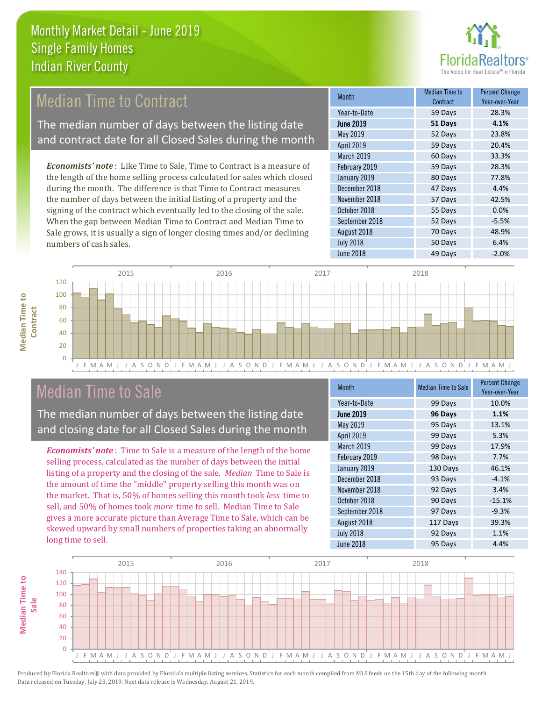

# **Median Time to Contract**

The median number of days between the listing date and contract date for all Closed Sales during the month

*Economists' note* : Like Time to Sale, Time to Contract is a measure of the length of the home selling process calculated for sales which closed during the month. The difference is that Time to Contract measures the number of days between the initial listing of a property and the signing of the contract which eventually led to the closing of the sale. When the gap between Median Time to Contract and Median Time to Sale grows, it is usually a sign of longer closing times and/or declining numbers of cash sales.

| <b>Month</b>     | Median Time to<br>Contract | <b>Percent Change</b><br>Year-over-Year |
|------------------|----------------------------|-----------------------------------------|
| Year-to-Date     | 59 Days                    | 28.3%                                   |
| <b>June 2019</b> | 51 Days                    | 4.1%                                    |
| May 2019         | 52 Days                    | 23.8%                                   |
| April 2019       | 59 Days                    | 20.4%                                   |
| March 2019       | 60 Days                    | 33.3%                                   |
| February 2019    | 59 Days                    | 28.3%                                   |
| January 2019     | 80 Days                    | 77.8%                                   |
| December 2018    | 47 Days                    | 4.4%                                    |
| November 2018    | 57 Days                    | 42.5%                                   |
| October 2018     | 55 Days                    | 0.0%                                    |
| September 2018   | 52 Days                    | $-5.5%$                                 |
| August 2018      | 70 Days                    | 48.9%                                   |
| <b>July 2018</b> | 50 Days                    | 6.4%                                    |
| <b>June 2018</b> | 49 Days                    | $-2.0%$                                 |



# Median Time to Sale

**Median Time to Contract**

**Median Time to** 

**Median Time to** 

The median number of days between the listing date and closing date for all Closed Sales during the month

*Economists' note* : Time to Sale is a measure of the length of the home selling process, calculated as the number of days between the initial listing of a property and the closing of the sale. *Median* Time to Sale is the amount of time the "middle" property selling this month was on the market. That is, 50% of homes selling this month took *less* time to sell, and 50% of homes took *more* time to sell. Median Time to Sale gives a more accurate picture than Average Time to Sale, which can be skewed upward by small numbers of properties taking an abnormally long time to sell.

| <b>Month</b>     | <b>Median Time to Sale</b> | <b>Percent Change</b><br>Year-over-Year |
|------------------|----------------------------|-----------------------------------------|
| Year-to-Date     | 99 Days                    | 10.0%                                   |
| <b>June 2019</b> | 96 Days                    | 1.1%                                    |
| May 2019         | 95 Days                    | 13.1%                                   |
| April 2019       | 99 Days                    | 5.3%                                    |
| March 2019       | 99 Days                    | 17.9%                                   |
| February 2019    | 98 Days                    | 7.7%                                    |
| January 2019     | 130 Days                   | 46.1%                                   |
| December 2018    | 93 Days                    | $-4.1%$                                 |
| November 2018    | 92 Days                    | 3.4%                                    |
| October 2018     | 90 Days                    | $-15.1%$                                |
| September 2018   | 97 Days                    | $-9.3%$                                 |
| August 2018      | 117 Days                   | 39.3%                                   |
| <b>July 2018</b> | 92 Days                    | 1.1%                                    |
| <b>June 2018</b> | 95 Days                    | 4.4%                                    |

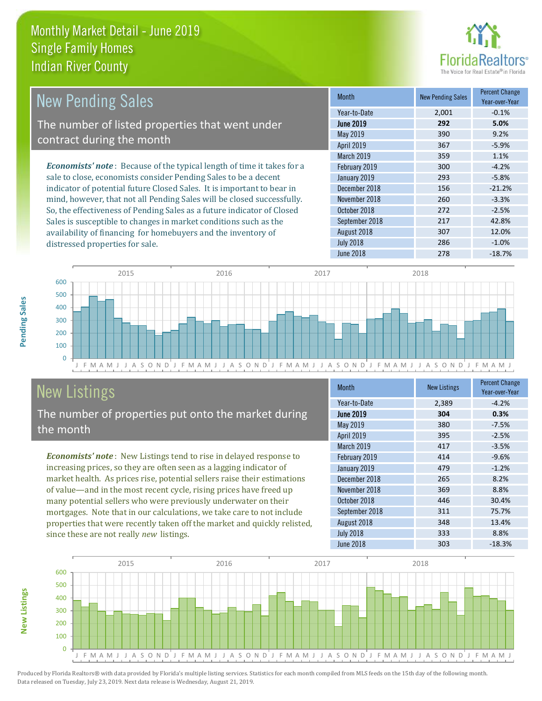distressed properties for sale.



| <b>New Pending Sales</b>                                                       | <b>Month</b>      | <b>New Pending Sales</b> | <b>Percent Change</b><br>Year-over-Year |
|--------------------------------------------------------------------------------|-------------------|--------------------------|-----------------------------------------|
|                                                                                | Year-to-Date      | 2,001                    | $-0.1%$                                 |
| The number of listed properties that went under                                | <b>June 2019</b>  | 292                      | 5.0%                                    |
| contract during the month                                                      | May 2019          | 390                      | 9.2%                                    |
|                                                                                | <b>April 2019</b> | 367                      | $-5.9%$                                 |
|                                                                                | <b>March 2019</b> | 359                      | 1.1%                                    |
| <b>Economists' note</b> : Because of the typical length of time it takes for a | February 2019     | 300                      | $-4.2%$                                 |
| sale to close, economists consider Pending Sales to be a decent                | January 2019      | 293                      | $-5.8%$                                 |
| indicator of potential future Closed Sales. It is important to bear in         | December 2018     | 156                      | $-21.2%$                                |
| mind, however, that not all Pending Sales will be closed successfully.         | November 2018     | 260                      | $-3.3%$                                 |
| So, the effectiveness of Pending Sales as a future indicator of Closed         | October 2018      | 272                      | $-2.5%$                                 |
| Sales is susceptible to changes in market conditions such as the               | September 2018    | 217                      | 42.8%                                   |



# New Listings

The number of properties put onto the market during the month

availability of financing for homebuyers and the inventory of

*Economists' note* : New Listings tend to rise in delayed response to increasing prices, so they are often seen as a lagging indicator of market health. As prices rise, potential sellers raise their estimations of value—and in the most recent cycle, rising prices have freed up many potential sellers who were previously underwater on their mortgages. Note that in our calculations, we take care to not include properties that were recently taken off the market and quickly relisted, since these are not really *new* listings.

| <b>Month</b>     | <b>New Listings</b> | <b>Percent Change</b><br>Year-over-Year |
|------------------|---------------------|-----------------------------------------|
| Year-to-Date     | 2,389               | $-4.2%$                                 |
| <b>June 2019</b> | 304                 | 0.3%                                    |
| May 2019         | 380                 | $-7.5%$                                 |
| April 2019       | 395                 | $-2.5%$                                 |
| March 2019       | 417                 | $-3.5%$                                 |
| February 2019    | 414                 | $-9.6%$                                 |
| January 2019     | 479                 | $-1.2%$                                 |
| December 2018    | 265                 | 8.2%                                    |
| November 2018    | 369                 | 8.8%                                    |
| October 2018     | 446                 | 30.4%                                   |
| September 2018   | 311                 | 75.7%                                   |
| August 2018      | 348                 | 13.4%                                   |
| <b>July 2018</b> | 333                 | 8.8%                                    |
| June 2018        | 303                 | $-18.3%$                                |

August 2018 **307** 12.0% July 2018 286 -1.0% June 2018 **278** -18.7%



**New Listings**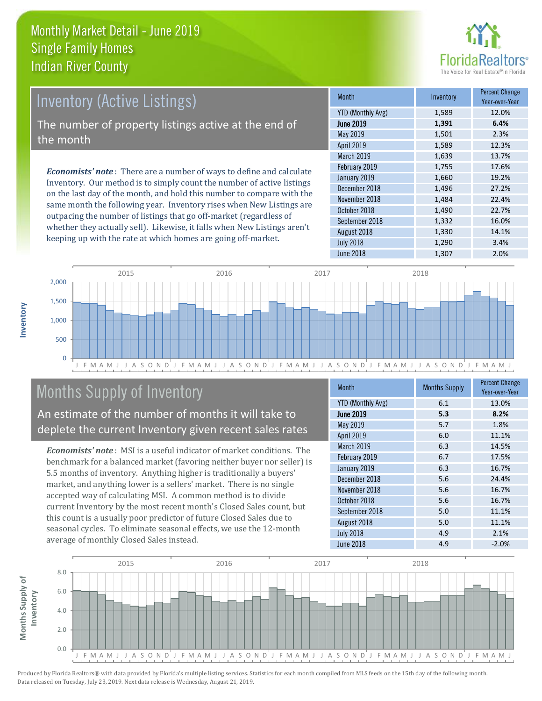

# Inventory (Active Listings)

The number of property listings active at the end of the month

*Economists' note* : There are a number of ways to define and calculate Inventory. Our method is to simply count the number of active listings on the last day of the month, and hold this number to compare with the same month the following year. Inventory rises when New Listings are outpacing the number of listings that go off-market (regardless of whether they actually sell). Likewise, it falls when New Listings aren't keeping up with the rate at which homes are going off-market.

| <b>Month</b>             | Inventory | <b>Percent Change</b><br>Year-over-Year |
|--------------------------|-----------|-----------------------------------------|
| <b>YTD (Monthly Avg)</b> | 1,589     | 12.0%                                   |
| <b>June 2019</b>         | 1,391     | 6.4%                                    |
| May 2019                 | 1,501     | 2.3%                                    |
| April 2019               | 1,589     | 12.3%                                   |
| <b>March 2019</b>        | 1,639     | 13.7%                                   |
| February 2019            | 1,755     | 17.6%                                   |
| January 2019             | 1,660     | 19.2%                                   |
| December 2018            | 1,496     | 27.2%                                   |
| November 2018            | 1,484     | 22.4%                                   |
| October 2018             | 1,490     | 22.7%                                   |
| September 2018           | 1,332     | 16.0%                                   |
| August 2018              | 1,330     | 14.1%                                   |
| <b>July 2018</b>         | 1,290     | 3.4%                                    |
| June 2018                | 1,307     | 2.0%                                    |



# Months Supply of Inventory

An estimate of the number of months it will take to deplete the current Inventory given recent sales rates

*Economists' note* : MSI is a useful indicator of market conditions. The benchmark for a balanced market (favoring neither buyer nor seller) is 5.5 months of inventory. Anything higher is traditionally a buyers' market, and anything lower is a sellers' market. There is no single accepted way of calculating MSI. A common method is to divide current Inventory by the most recent month's Closed Sales count, but this count is a usually poor predictor of future Closed Sales due to seasonal cycles. To eliminate seasonal effects, we use the 12-month average of monthly Closed Sales instead.

| <b>Month</b>             | <b>Months Supply</b> | <b>Percent Change</b><br>Year-over-Year |
|--------------------------|----------------------|-----------------------------------------|
| <b>YTD (Monthly Avg)</b> | 6.1                  | 13.0%                                   |
| <b>June 2019</b>         | 5.3                  | 8.2%                                    |
| May 2019                 | 5.7                  | 1.8%                                    |
| April 2019               | 6.0                  | 11.1%                                   |
| March 2019               | 6.3                  | 14.5%                                   |
| February 2019            | 6.7                  | 17.5%                                   |
| January 2019             | 6.3                  | 16.7%                                   |
| December 2018            | 5.6                  | 24.4%                                   |
| November 2018            | 5.6                  | 16.7%                                   |
| October 2018             | 5.6                  | 16.7%                                   |
| September 2018           | 5.0                  | 11.1%                                   |
| August 2018              | 5.0                  | 11.1%                                   |
| <b>July 2018</b>         | 4.9                  | 2.1%                                    |
| June 2018                | 4.9                  | $-2.0%$                                 |

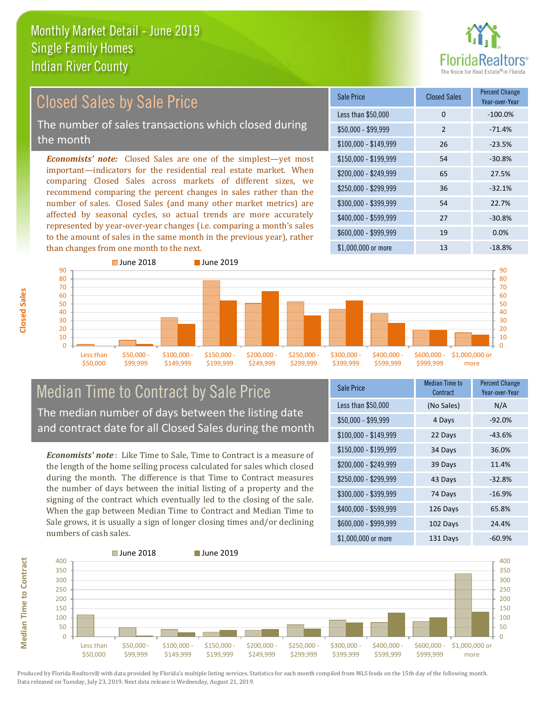than changes from one month to the next.



### *Economists' note:* Closed Sales are one of the simplest—yet most important—indicators for the residential real estate market. When comparing Closed Sales across markets of different sizes, we recommend comparing the percent changes in sales rather than the number of sales. Closed Sales (and many other market metrics) are affected by seasonal cycles, so actual trends are more accurately represented by year-over-year changes (i.e. comparing a month's sales to the amount of sales in the same month in the previous year), rather  $$250,000 - $299,999$  36 -32.1% \$300,000 - \$399,999 54 22.7% \$400,000 - \$599,999 27 -30.8% \$600,000 - \$999,999 19 0.0% \$150,000 - \$199,999 54 -30.8% \$200,000 - \$249,999 65 27.5% \$100,000 - \$149,999 26 -23.5% Sale Price Closed Sales Percent Change Year-over-Year Less than \$50,000 0 0 -100.0%  $$50,000 - $99,999$  2 -71.4% Closed Sales by Sale Price The number of sales transactions which closed during the month



## Median Time to Contract by Sale Price The median number of days between the listing date and contract date for all Closed Sales during the month

*Economists' note* : Like Time to Sale, Time to Contract is a measure of the length of the home selling process calculated for sales which closed during the month. The difference is that Time to Contract measures the number of days between the initial listing of a property and the signing of the contract which eventually led to the closing of the sale. When the gap between Median Time to Contract and Median Time to Sale grows, it is usually a sign of longer closing times and/or declining numbers of cash sales.

| Sale Price            | <b>Median Time to</b><br>Contract | <b>Percent Change</b><br>Year-over-Year |
|-----------------------|-----------------------------------|-----------------------------------------|
| Less than \$50,000    | (No Sales)                        | N/A                                     |
| $$50,000 - $99,999$   | 4 Days                            | $-92.0%$                                |
| $$100,000 - $149,999$ | 22 Days                           | $-43.6%$                                |
| $$150,000 - $199,999$ | 34 Days                           | 36.0%                                   |
| \$200,000 - \$249,999 | 39 Days                           | 11.4%                                   |
| \$250,000 - \$299,999 | 43 Days                           | $-32.8%$                                |
| \$300,000 - \$399,999 | 74 Days                           | $-16.9%$                                |
| \$400,000 - \$599,999 | 126 Days                          | 65.8%                                   |
| \$600,000 - \$999,999 | 102 Days                          | 24.4%                                   |
| \$1,000,000 or more   | 131 Days                          | -60.9%                                  |

\$1,000,000 or more 13 13 -18.8%



**Closed Sales**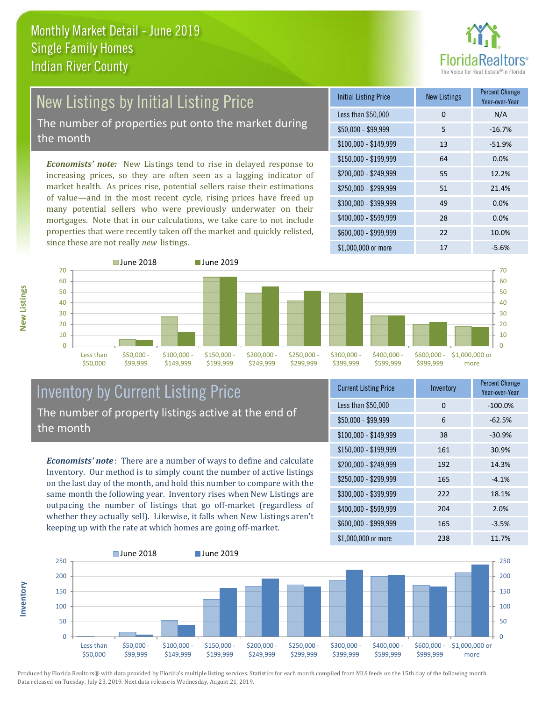

# New Listings by Initial Listing Price The number of properties put onto the market during

the month

*Economists' note:* New Listings tend to rise in delayed response to increasing prices, so they are often seen as a lagging indicator of market health. As prices rise, potential sellers raise their estimations of value—and in the most recent cycle, rising prices have freed up many potential sellers who were previously underwater on their mortgages. Note that in our calculations, we take care to not include properties that were recently taken off the market and quickly relisted, since these are not really *new* listings.

| <b>Initial Listing Price</b> | <b>New Listings</b> | <b>Percent Change</b><br>Year-over-Year |
|------------------------------|---------------------|-----------------------------------------|
| Less than \$50,000           | 0                   | N/A                                     |
| $$50,000 - $99,999$          | 5                   | $-16.7%$                                |
| $$100,000 - $149,999$        | 13                  | $-51.9%$                                |
| $$150,000 - $199,999$        | 64                  | 0.0%                                    |
| \$200,000 - \$249,999        | 55                  | 12.2%                                   |
| \$250,000 - \$299,999        | 51                  | 21.4%                                   |
| \$300,000 - \$399,999        | 49                  | 0.0%                                    |
| \$400,000 - \$599,999        | 28                  | 0.0%                                    |
| \$600,000 - \$999,999        | 22                  | 10.0%                                   |
| $$1,000,000$ or more         | 17                  | $-5.6%$                                 |



### Inventory by Current Listing Price The number of property listings active at the end of the month

*Economists' note* : There are a number of ways to define and calculate Inventory. Our method is to simply count the number of active listings on the last day of the month, and hold this number to compare with the same month the following year. Inventory rises when New Listings are outpacing the number of listings that go off-market (regardless of whether they actually sell). Likewise, it falls when New Listings aren't keeping up with the rate at which homes are going off-market.

| <b>Current Listing Price</b> | Inventory | <b>Percent Change</b><br>Year-over-Year |
|------------------------------|-----------|-----------------------------------------|
| Less than \$50,000           | 0         | $-100.0%$                               |
| $$50,000 - $99,999$          | 6         | $-62.5%$                                |
| $$100,000 - $149,999$        | 38        | $-30.9%$                                |
| $$150,000 - $199,999$        | 161       | 30.9%                                   |
| \$200,000 - \$249,999        | 192       | 14.3%                                   |
| \$250,000 - \$299,999        | 165       | $-4.1%$                                 |
| \$300,000 - \$399,999        | 222       | 18.1%                                   |
| \$400,000 - \$599,999        | 204       | 2.0%                                    |
| \$600,000 - \$999,999        | 165       | $-3.5%$                                 |
| \$1,000,000 or more          | 238       | 11.7%                                   |



Produced by Florida Realtors® with data provided by Florida's multiple listing services. Statistics for each month compiled from MLS feeds on the 15th day of the following month. Data released on Tuesday, July 23, 2019. Next data release is Wednesday, August 21, 2019.

**Inventory**